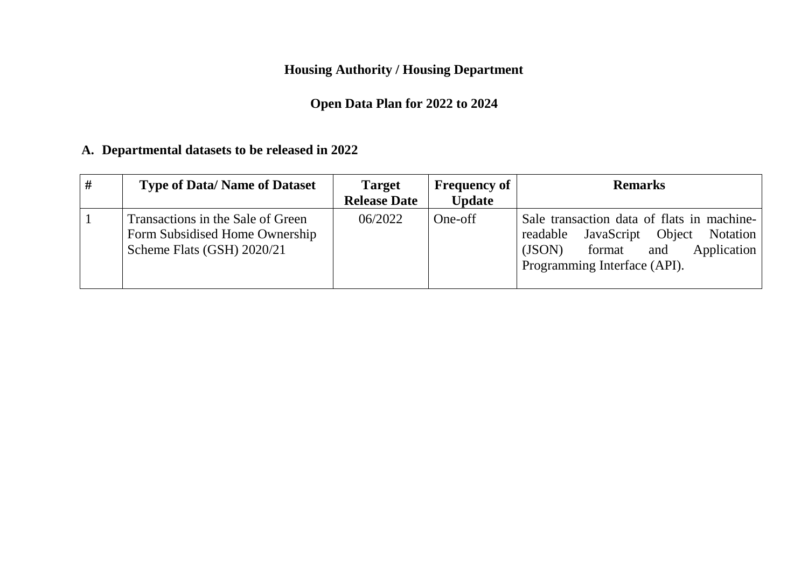**Housing Authority / Housing Department**

## **Open Data Plan for 2022 to 2024**

## **A. Departmental datasets to be released in 2022**

| # | <b>Type of Data/ Name of Dataset</b>                                                              | <b>Target</b><br><b>Release Date</b> | <b>Frequency of</b><br><b>Update</b> | <b>Remarks</b>                                                                                                                                                 |
|---|---------------------------------------------------------------------------------------------------|--------------------------------------|--------------------------------------|----------------------------------------------------------------------------------------------------------------------------------------------------------------|
|   | Transactions in the Sale of Green<br>Form Subsidised Home Ownership<br>Scheme Flats (GSH) 2020/21 | 06/2022                              | One-off                              | Sale transaction data of flats in machine-<br>JavaScript Object Notation<br>readable<br>Application<br>format<br>(JSON)<br>and<br>Programming Interface (API). |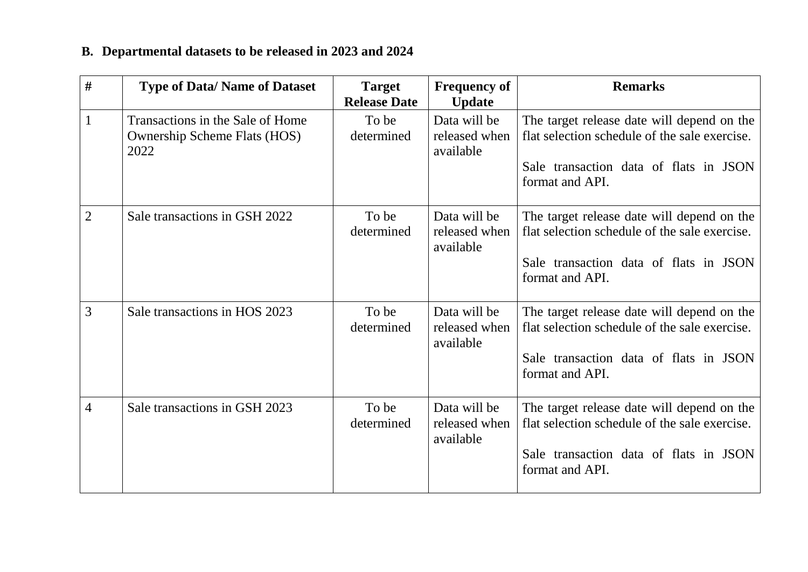# **B. Departmental datasets to be released in 2023 and 2024**

| #              | <b>Type of Data/Name of Dataset</b>                                             | <b>Target</b><br><b>Release Date</b> | <b>Frequency of</b><br><b>Update</b>       | <b>Remarks</b>                                                                                                                                           |
|----------------|---------------------------------------------------------------------------------|--------------------------------------|--------------------------------------------|----------------------------------------------------------------------------------------------------------------------------------------------------------|
| 1              | Transactions in the Sale of Home<br><b>Ownership Scheme Flats (HOS)</b><br>2022 | To be<br>determined                  | Data will be<br>released when<br>available | The target release date will depend on the<br>flat selection schedule of the sale exercise.<br>Sale transaction data of flats in JSON<br>format and API. |
| $\overline{2}$ | Sale transactions in GSH 2022                                                   | To be<br>determined                  | Data will be<br>released when<br>available | The target release date will depend on the<br>flat selection schedule of the sale exercise.<br>Sale transaction data of flats in JSON<br>format and API. |
| 3              | Sale transactions in HOS 2023                                                   | To be<br>determined                  | Data will be<br>released when<br>available | The target release date will depend on the<br>flat selection schedule of the sale exercise.<br>Sale transaction data of flats in JSON<br>format and API. |
| 4              | Sale transactions in GSH 2023                                                   | To be<br>determined                  | Data will be<br>released when<br>available | The target release date will depend on the<br>flat selection schedule of the sale exercise.<br>Sale transaction data of flats in JSON<br>format and API. |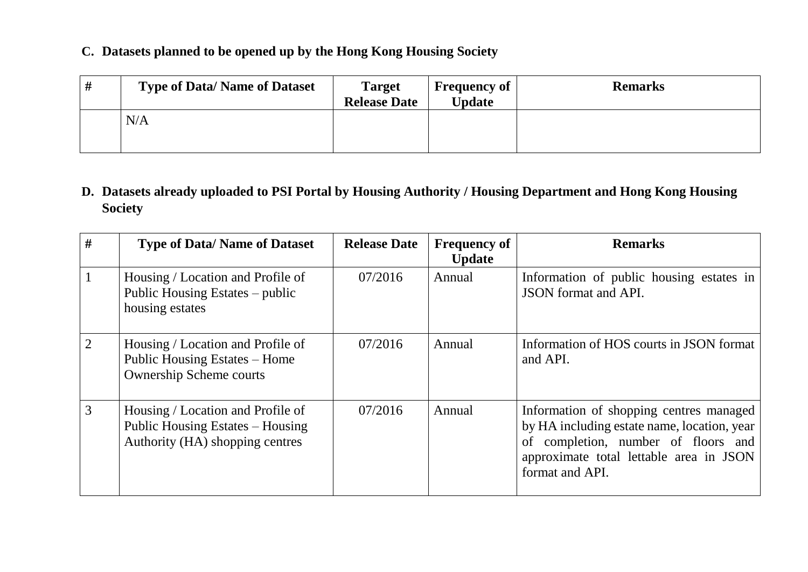#### **C. Datasets planned to be opened up by the Hong Kong Housing Society**

| # | <b>Type of Data/Name of Dataset</b> | <b>Target</b><br><b>Release Date</b> | <b>Frequency of</b><br><b>Update</b> | <b>Remarks</b> |
|---|-------------------------------------|--------------------------------------|--------------------------------------|----------------|
|   | N/A                                 |                                      |                                      |                |

### **D. Datasets already uploaded to PSI Portal by Housing Authority / Housing Department and Hong Kong Housing Society**

| #              | <b>Type of Data/Name of Dataset</b>                                                                      | <b>Release Date</b> | <b>Frequency of</b><br><b>Update</b> | <b>Remarks</b>                                                                                                                                                                              |
|----------------|----------------------------------------------------------------------------------------------------------|---------------------|--------------------------------------|---------------------------------------------------------------------------------------------------------------------------------------------------------------------------------------------|
|                | Housing / Location and Profile of<br>Public Housing Estates – public<br>housing estates                  | 07/2016             | Annual                               | Information of public housing estates in<br><b>JSON</b> format and API.                                                                                                                     |
| $\overline{2}$ | Housing / Location and Profile of<br>Public Housing Estates – Home<br><b>Ownership Scheme courts</b>     | 07/2016             | Annual                               | Information of HOS courts in JSON format<br>and API.                                                                                                                                        |
| 3              | Housing / Location and Profile of<br>Public Housing Estates – Housing<br>Authority (HA) shopping centres | 07/2016             | Annual                               | Information of shopping centres managed<br>by HA including estate name, location, year<br>of completion, number of floors and<br>approximate total lettable area in JSON<br>format and API. |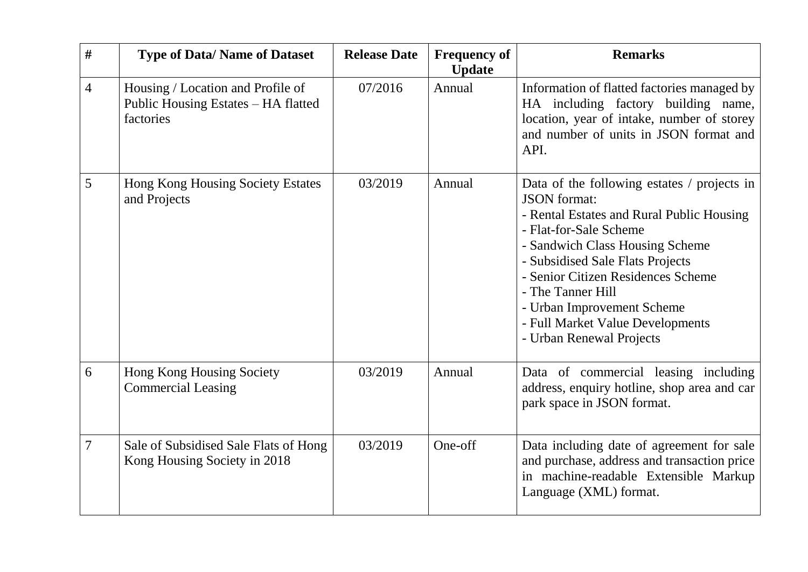| #              | <b>Type of Data/ Name of Dataset</b>                                                  | <b>Release Date</b> | <b>Frequency of</b><br><b>Update</b> | <b>Remarks</b>                                                                                                                                                                                                                                                                                                                                                            |
|----------------|---------------------------------------------------------------------------------------|---------------------|--------------------------------------|---------------------------------------------------------------------------------------------------------------------------------------------------------------------------------------------------------------------------------------------------------------------------------------------------------------------------------------------------------------------------|
| $\overline{4}$ | Housing / Location and Profile of<br>Public Housing Estates - HA flatted<br>factories | 07/2016             | Annual                               | Information of flatted factories managed by<br>HA including factory building name,<br>location, year of intake, number of storey<br>and number of units in JSON format and<br>API.                                                                                                                                                                                        |
| 5              | Hong Kong Housing Society Estates<br>and Projects                                     | 03/2019             | Annual                               | Data of the following estates / projects in<br><b>JSON</b> format:<br>- Rental Estates and Rural Public Housing<br>- Flat-for-Sale Scheme<br>- Sandwich Class Housing Scheme<br>- Subsidised Sale Flats Projects<br>- Senior Citizen Residences Scheme<br>- The Tanner Hill<br>- Urban Improvement Scheme<br>- Full Market Value Developments<br>- Urban Renewal Projects |
| 6              | Hong Kong Housing Society<br><b>Commercial Leasing</b>                                | 03/2019             | Annual                               | Data of commercial leasing including<br>address, enquiry hotline, shop area and car<br>park space in JSON format.                                                                                                                                                                                                                                                         |
| $\overline{7}$ | Sale of Subsidised Sale Flats of Hong<br>Kong Housing Society in 2018                 | 03/2019             | One-off                              | Data including date of agreement for sale<br>and purchase, address and transaction price<br>in machine-readable Extensible Markup<br>Language (XML) format.                                                                                                                                                                                                               |